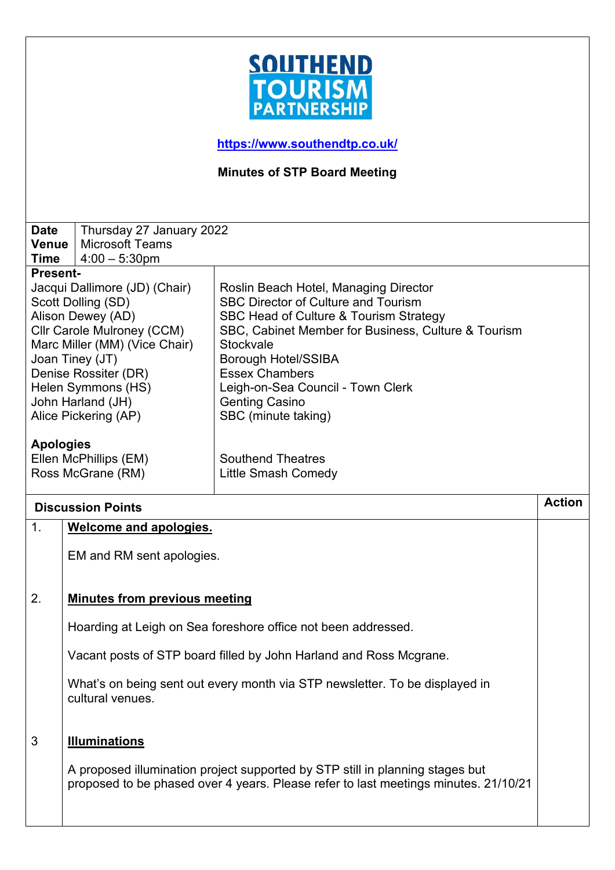

**<https://www.southendtp.co.uk/>**

**Minutes of STP Board Meeting** 

| <b>Date</b>                   | Thursday 27 January 2022             |                                                                             |               |
|-------------------------------|--------------------------------------|-----------------------------------------------------------------------------|---------------|
| Venue                         | <b>Microsoft Teams</b>               |                                                                             |               |
| <b>Time</b>                   | $4:00 - 5:30$ pm                     |                                                                             |               |
| <b>Present-</b>               |                                      |                                                                             |               |
| Jacqui Dallimore (JD) (Chair) |                                      | Roslin Beach Hotel, Managing Director                                       |               |
|                               | Scott Dolling (SD)                   | <b>SBC Director of Culture and Tourism</b>                                  |               |
| Alison Dewey (AD)             |                                      | SBC Head of Culture & Tourism Strategy                                      |               |
| Cllr Carole Mulroney (CCM)    |                                      | SBC, Cabinet Member for Business, Culture & Tourism                         |               |
| Marc Miller (MM) (Vice Chair) |                                      | <b>Stockvale</b>                                                            |               |
|                               | Joan Tiney (JT)                      | <b>Borough Hotel/SSIBA</b>                                                  |               |
|                               | Denise Rossiter (DR)                 | <b>Essex Chambers</b>                                                       |               |
| Helen Symmons (HS)            |                                      | Leigh-on-Sea Council - Town Clerk                                           |               |
|                               | John Harland (JH)                    | <b>Genting Casino</b>                                                       |               |
|                               | Alice Pickering (AP)                 | SBC (minute taking)                                                         |               |
|                               |                                      |                                                                             |               |
| <b>Apologies</b>              |                                      |                                                                             |               |
|                               | Ellen McPhillips (EM)                | <b>Southend Theatres</b>                                                    |               |
|                               | Ross McGrane (RM)                    | <b>Little Smash Comedy</b>                                                  |               |
|                               |                                      |                                                                             |               |
|                               |                                      |                                                                             |               |
|                               | <b>Discussion Points</b>             |                                                                             | <b>Action</b> |
| $\mathbf{1}$ .                | <b>Welcome and apologies.</b>        |                                                                             |               |
|                               |                                      |                                                                             |               |
|                               | EM and RM sent apologies.            |                                                                             |               |
|                               |                                      |                                                                             |               |
|                               |                                      |                                                                             |               |
| 2.                            | <b>Minutes from previous meeting</b> |                                                                             |               |
|                               |                                      |                                                                             |               |
|                               |                                      | Hoarding at Leigh on Sea foreshore office not been addressed.               |               |
|                               |                                      | Vacant posts of STP board filled by John Harland and Ross Mcgrane.          |               |
|                               | cultural venues.                     | What's on being sent out every month via STP newsletter. To be displayed in |               |
| 3                             | <b>Illuminations</b>                 |                                                                             |               |

A proposed illumination project supported by STP still in planning stages but proposed to be phased over 4 years. Please refer to last meetings minutes. 21/10/21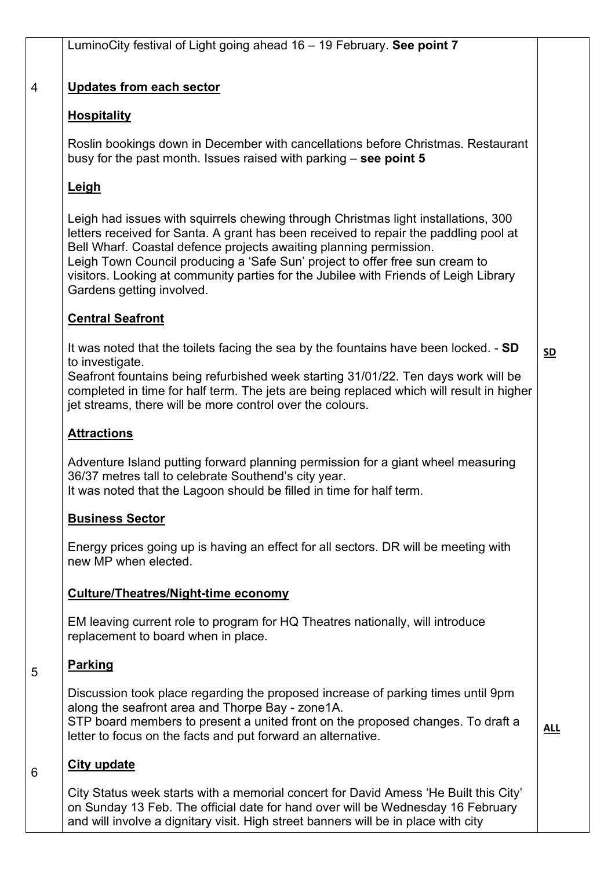# **Updates from each sector**

# **Hospitality**

Roslin bookings down in December with cancellations before Christmas. Restaurant busy for the past month. Issues raised with parking – **see point 5**

# **Leigh**

4

Leigh had issues with squirrels chewing through Christmas light installations, 300 letters received for Santa. A grant has been received to repair the paddling pool at Bell Wharf. Coastal defence projects awaiting planning permission. Leigh Town Council producing a 'Safe Sun' project to offer free sun cream to visitors. Looking at community parties for the Jubilee with Friends of Leigh Library Gardens getting involved.

## **Central Seafront**

It was noted that the toilets facing the sea by the fountains have been locked. - **SD** to investigate.

Seafront fountains being refurbished week starting 31/01/22. Ten days work will be completed in time for half term. The jets are being replaced which will result in higher jet streams, there will be more control over the colours.

## **Attractions**

Adventure Island putting forward planning permission for a giant wheel measuring 36/37 metres tall to celebrate Southend's city year. It was noted that the Lagoon should be filled in time for half term.

#### **Business Sector**

Energy prices going up is having an effect for all sectors. DR will be meeting with new MP when elected.

## **Culture/Theatres/Night-time economy**

EM leaving current role to program for HQ Theatres nationally, will introduce replacement to board when in place.

#### **Parking**

5

6

Discussion took place regarding the proposed increase of parking times until 9pm along the seafront area and Thorpe Bay - zone1A. STP board members to present a united front on the proposed changes. To draft a letter to focus on the facts and put forward an alternative.

**ALL**

# **City update**

City Status week starts with a memorial concert for David Amess 'He Built this City' on Sunday 13 Feb. The official date for hand over will be Wednesday 16 February and will involve a dignitary visit. High street banners will be in place with city

**SD**